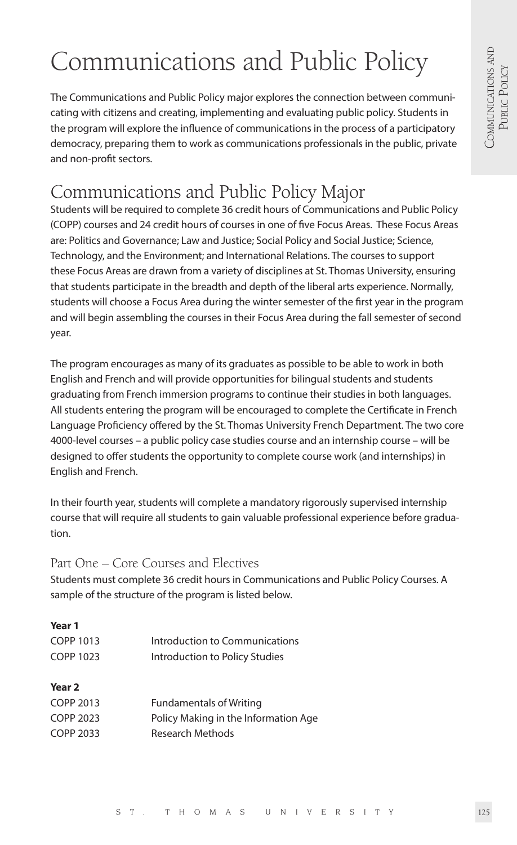Communications and Public Policy<br>
The Communications and Public Policy major explores the connection between communi-<br>
cating with citizens and creating, implementing and evaluating public policy. Students in<br>
the program The Communications and Public Policy major explores the connection between communicating with citizens and creating, implementing and evaluating public policy. Students in the program will explore the influence of communications in the process of a participatory democracy, preparing them to work as communications professionals in the public, private and non-profit sectors.

## Communications and Public Policy Major

Students will be required to complete 36 credit hours of Communications and Public Policy (COPP) courses and 24 credit hours of courses in one of five Focus Areas. These Focus Areas are: Politics and Governance; Law and Justice; Social Policy and Social Justice; Science, Technology, and the Environment; and International Relations. The courses to support these Focus Areas are drawn from a variety of disciplines at St. Thomas University, ensuring that students participate in the breadth and depth of the liberal arts experience. Normally, students will choose a Focus Area during the winter semester of the first year in the program and will begin assembling the courses in their Focus Area during the fall semester of second year.

The program encourages as many of its graduates as possible to be able to work in both English and French and will provide opportunities for bilingual students and students graduating from French immersion programs to continue their studies in both languages. All students entering the program will be encouraged to complete the Certificate in French Language Proficiency offered by the St. Thomas University French Department. The two core 4000-level courses – a public policy case studies course and an internship course – will be designed to offer students the opportunity to complete course work (and internships) in English and French.

In their fourth year, students will complete a mandatory rigorously supervised internship course that will require all students to gain valuable professional experience before graduation.

### Part One – Core Courses and Electives

Students must complete 36 credit hours in Communications and Public Policy Courses. A sample of the structure of the program is listed below.

#### **Year 1**

| Introduction to Communications |  |
|--------------------------------|--|
| Introduction to Policy Studies |  |
|                                |  |
|                                |  |
| <b>Fundamentals of Writing</b> |  |
|                                |  |

- COPP 2023 Policy Making in the Information Age
- COPP 2033 Research Methods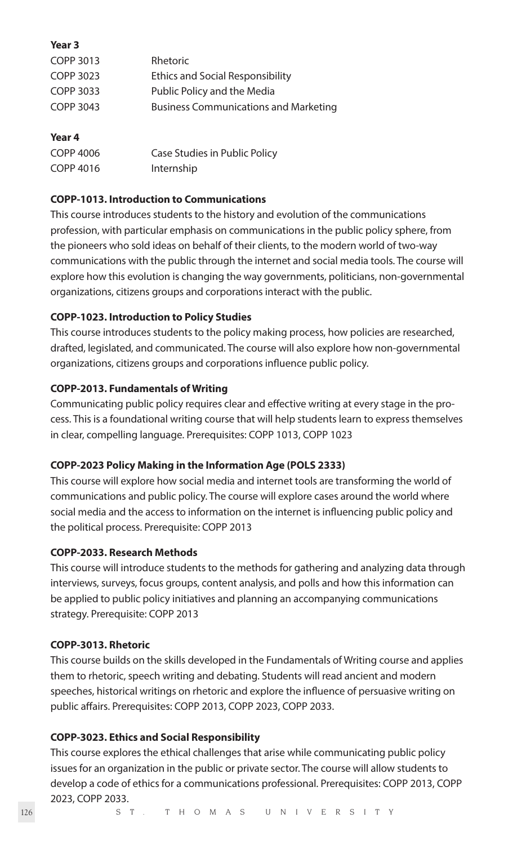| Year 3           |                                              |
|------------------|----------------------------------------------|
| COPP 3013        | Rhetoric                                     |
| COPP 3023        | <b>Ethics and Social Responsibility</b>      |
| COPP 3033        | Public Policy and the Media                  |
| <b>COPP 3043</b> | <b>Business Communications and Marketing</b> |
|                  |                                              |
| Year 4           |                                              |

| COPP 4006 | Case Studies in Public Policy |
|-----------|-------------------------------|
| COPP 4016 | Internship                    |

#### **COPP-1013. Introduction to Communications**

This course introduces students to the history and evolution of the communications profession, with particular emphasis on communications in the public policy sphere, from the pioneers who sold ideas on behalf of their clients, to the modern world of two-way communications with the public through the internet and social media tools. The course will explore how this evolution is changing the way governments, politicians, non-governmental organizations, citizens groups and corporations interact with the public.

#### **COPP-1023. Introduction to Policy Studies**

This course introduces students to the policy making process, how policies are researched, drafted, legislated, and communicated. The course will also explore how non-governmental organizations, citizens groups and corporations influence public policy.

#### **COPP-2013. Fundamentals of Writing**

Communicating public policy requires clear and effective writing at every stage in the process. This is a foundational writing course that will help students learn to express themselves in clear, compelling language. Prerequisites: COPP 1013, COPP 1023

#### **COPP-2023 Policy Making in the Information Age (POLS 2333)**

This course will explore how social media and internet tools are transforming the world of communications and public policy. The course will explore cases around the world where social media and the access to information on the internet is influencing public policy and the political process. Prerequisite: COPP 2013

#### **COPP-2033. Research Methods**

This course will introduce students to the methods for gathering and analyzing data through interviews, surveys, focus groups, content analysis, and polls and how this information can be applied to public policy initiatives and planning an accompanying communications strategy. Prerequisite: COPP 2013

#### **COPP-3013. Rhetoric**

This course builds on the skills developed in the Fundamentals of Writing course and applies them to rhetoric, speech writing and debating. Students will read ancient and modern speeches, historical writings on rhetoric and explore the influence of persuasive writing on public affairs. Prerequisites: COPP 2013, COPP 2023, COPP 2033.

#### **COPP-3023. Ethics and Social Responsibility**

This course explores the ethical challenges that arise while communicating public policy issues for an organization in the public or private sector. The course will allow students to develop a code of ethics for a communications professional. Prerequisites: COPP 2013, COPP 2023, COPP 2033.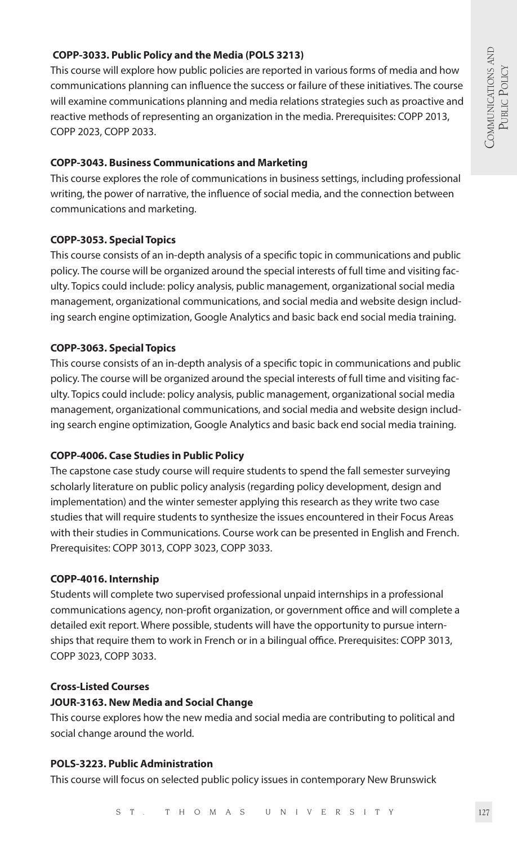### **COPP-3033. Public Policy and the Media (POLS 3213)**

This course will explore how public policies are reported in various forms of media and how communications planning can influence the success or failure of these initiatives. The course will examine communications planning and media relations strategies such as proactive and reactive methods of representing an organization in the media. Prerequisites: COPP 2013, COPP 2023, COPP 2033.

#### **COPP-3043. Business Communications and Marketing**

This course explores the role of communications in business settings, including professional writing, the power of narrative, the influence of social media, and the connection between communications and marketing.

### **COPP-3053. Special Topics**

This course consists of an in-depth analysis of a specific topic in communications and public policy. The course will be organized around the special interests of full time and visiting faculty. Topics could include: policy analysis, public management, organizational social media management, organizational communications, and social media and website design including search engine optimization, Google Analytics and basic back end social media training.

### **COPP-3063. Special Topics**

This course consists of an in-depth analysis of a specific topic in communications and public policy. The course will be organized around the special interests of full time and visiting faculty. Topics could include: policy analysis, public management, organizational social media management, organizational communications, and social media and website design including search engine optimization, Google Analytics and basic back end social media training.

### **COPP-4006. Case Studies in Public Policy**

The capstone case study course will require students to spend the fall semester surveying scholarly literature on public policy analysis (regarding policy development, design and implementation) and the winter semester applying this research as they write two case studies that will require students to synthesize the issues encountered in their Focus Areas with their studies in Communications. Course work can be presented in English and French. Prerequisites: COPP 3013, COPP 3023, COPP 3033.

### **COPP-4016. Internship**

Students will complete two supervised professional unpaid internships in a professional communications agency, non-profit organization, or government office and will complete a detailed exit report. Where possible, students will have the opportunity to pursue internships that require them to work in French or in a bilingual office. Prerequisites: COPP 3013, COPP 3023, COPP 3033.

### **Cross-Listed Courses**

### **JOUR-3163. New Media and Social Change**

This course explores how the new media and social media are contributing to political and social change around the world.

### **POLS-3223. Public Administration**

This course will focus on selected public policy issues in contemporary New Brunswick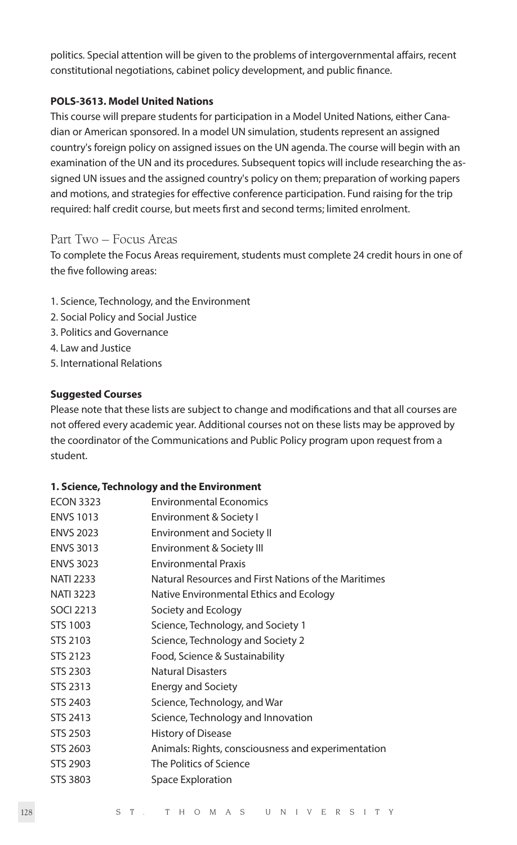politics. Special attention will be given to the problems of intergovernmental affairs, recent constitutional negotiations, cabinet policy development, and public finance.

#### **POLS-3613. Model United Nations**

This course will prepare students for participation in a Model United Nations, either Canadian or American sponsored. In a model UN simulation, students represent an assigned country's foreign policy on assigned issues on the UN agenda. The course will begin with an examination of the UN and its procedures. Subsequent topics will include researching the assigned UN issues and the assigned country's policy on them; preparation of working papers and motions, and strategies for effective conference participation. Fund raising for the trip required: half credit course, but meets first and second terms; limited enrolment.

#### Part Two – Focus Areas

To complete the Focus Areas requirement, students must complete 24 credit hours in one of the five following areas:

- 1. Science, Technology, and the Environment
- 2. Social Policy and Social Justice
- 3. Politics and Governance
- 4. Law and Justice
- 5. International Relations

#### **Suggested Courses**

Please note that these lists are subject to change and modifications and that all courses are not offered every academic year. Additional courses not on these lists may be approved by the coordinator of the Communications and Public Policy program upon request from a student.

#### **1. Science, Technology and the Environment**

| <b>ECON 3323</b> | <b>Environmental Economics</b>                       |
|------------------|------------------------------------------------------|
| <b>ENVS 1013</b> | Environment & Society I                              |
| <b>ENVS 2023</b> | <b>Environment and Society II</b>                    |
| <b>ENVS 3013</b> | Environment & Society III                            |
| <b>ENVS 3023</b> | <b>Environmental Praxis</b>                          |
| <b>NATI 2233</b> | Natural Resources and First Nations of the Maritimes |
| <b>NATI 3223</b> | Native Environmental Ethics and Ecology              |
| <b>SOCI 2213</b> | Society and Ecology                                  |
| <b>STS 1003</b>  | Science, Technology, and Society 1                   |
| STS 2103         | Science, Technology and Society 2                    |
| <b>STS 2123</b>  | Food, Science & Sustainability                       |
| STS 2303         | <b>Natural Disasters</b>                             |
| STS 2313         | <b>Energy and Society</b>                            |
| STS 2403         | Science, Technology, and War                         |
| STS 2413         | Science, Technology and Innovation                   |
| <b>STS 2503</b>  | <b>History of Disease</b>                            |
| STS 2603         | Animals: Rights, consciousness and experimentation   |
| <b>STS 2903</b>  | The Politics of Science                              |
| STS 3803         | Space Exploration                                    |
|                  |                                                      |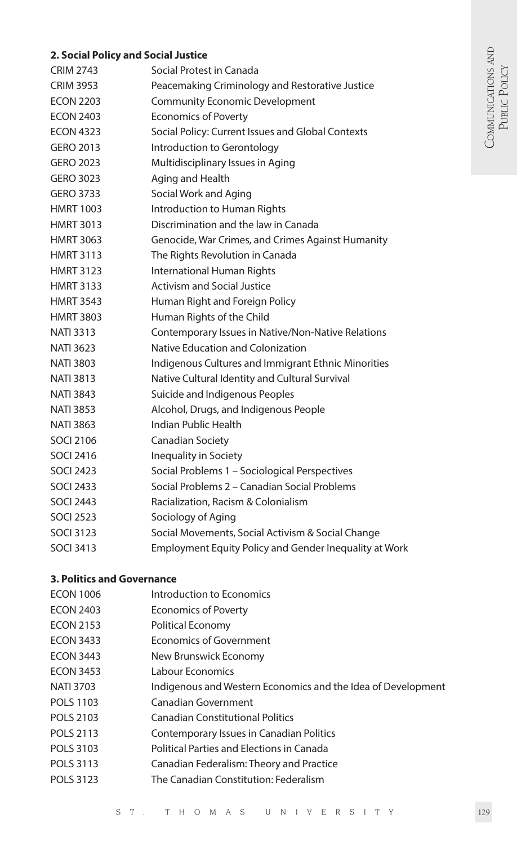# COMMUNICATIONS AND<br>PUBLIC POLICY Communications and PUBLIC POLICY

### **2. Social Policy and Social Justice**

| <b>CRIM 2743</b> | Social Protest in Canada                               |
|------------------|--------------------------------------------------------|
| <b>CRIM 3953</b> | Peacemaking Criminology and Restorative Justice        |
| <b>ECON 2203</b> | <b>Community Economic Development</b>                  |
| <b>ECON 2403</b> | <b>Economics of Poverty</b>                            |
| <b>ECON 4323</b> | Social Policy: Current Issues and Global Contexts      |
| GERO 2013        | Introduction to Gerontology                            |
| GERO 2023        | Multidisciplinary Issues in Aging                      |
| <b>GERO 3023</b> | Aging and Health                                       |
| GERO 3733        | Social Work and Aging                                  |
| <b>HMRT 1003</b> | Introduction to Human Rights                           |
| <b>HMRT 3013</b> | Discrimination and the law in Canada                   |
| <b>HMRT 3063</b> | Genocide, War Crimes, and Crimes Against Humanity      |
| <b>HMRT 3113</b> | The Rights Revolution in Canada                        |
| <b>HMRT 3123</b> | International Human Rights                             |
| <b>HMRT 3133</b> | Activism and Social Justice                            |
| <b>HMRT 3543</b> | Human Right and Foreign Policy                         |
| <b>HMRT 3803</b> | Human Rights of the Child                              |
| <b>NATI 3313</b> | Contemporary Issues in Native/Non-Native Relations     |
| <b>NATI 3623</b> | Native Education and Colonization                      |
| <b>NATI 3803</b> | Indigenous Cultures and Immigrant Ethnic Minorities    |
| <b>NATI 3813</b> | Native Cultural Identity and Cultural Survival         |
| <b>NATI 3843</b> | Suicide and Indigenous Peoples                         |
| <b>NATI 3853</b> | Alcohol, Drugs, and Indigenous People                  |
| <b>NATI 3863</b> | Indian Public Health                                   |
| SOCI 2106        | Canadian Society                                       |
| <b>SOCI 2416</b> | Inequality in Society                                  |
| <b>SOCI 2423</b> | Social Problems 1 - Sociological Perspectives          |
| <b>SOCI 2433</b> | Social Problems 2 - Canadian Social Problems           |
| <b>SOCI 2443</b> | Racialization, Racism & Colonialism                    |
| <b>SOCI 2523</b> | Sociology of Aging                                     |
| <b>SOCI 3123</b> | Social Movements, Social Activism & Social Change      |
| <b>SOCI 3413</b> | Employment Equity Policy and Gender Inequality at Work |
|                  |                                                        |

#### **3. Politics and Governance**

| <b>ECON 1006</b> | Introduction to Economics                                    |
|------------------|--------------------------------------------------------------|
| <b>ECON 2403</b> | <b>Economics of Poverty</b>                                  |
| <b>ECON 2153</b> | Political Economy                                            |
| <b>ECON 3433</b> | <b>Economics of Government</b>                               |
| <b>ECON 3443</b> | New Brunswick Economy                                        |
| <b>ECON 3453</b> | Labour Economics                                             |
| NATI 3703        | Indigenous and Western Economics and the Idea of Development |
| <b>POLS 1103</b> | Canadian Government                                          |
| <b>POLS 2103</b> | <b>Canadian Constitutional Politics</b>                      |
| POLS 2113        | Contemporary Issues in Canadian Politics                     |
| <b>POLS 3103</b> | Political Parties and Elections in Canada                    |
| <b>POLS 3113</b> | Canadian Federalism: Theory and Practice                     |
| <b>POLS 3123</b> | The Canadian Constitution: Federalism                        |
|                  |                                                              |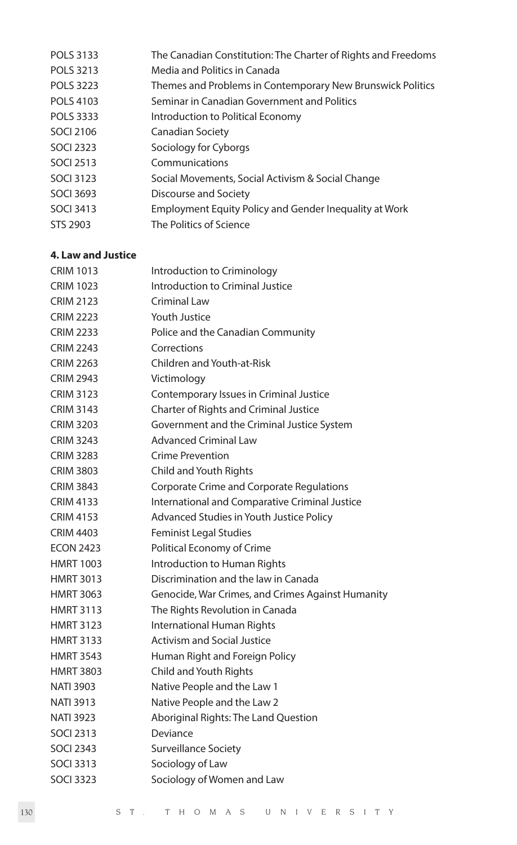| POLS 3133        | The Canadian Constitution: The Charter of Rights and Freedoms |
|------------------|---------------------------------------------------------------|
|                  |                                                               |
| <b>POLS 3213</b> | Media and Politics in Canada                                  |
| <b>POLS 3223</b> | Themes and Problems in Contemporary New Brunswick Politics    |
| <b>POLS 4103</b> | Seminar in Canadian Government and Politics                   |
| <b>POLS 3333</b> | Introduction to Political Economy                             |
| <b>SOCI 2106</b> | Canadian Society                                              |
| <b>SOCI 2323</b> | Sociology for Cyborgs                                         |
| SOCI 2513        | Communications                                                |
| <b>SOCI 3123</b> | Social Movements, Social Activism & Social Change             |
| <b>SOCI 3693</b> | <b>Discourse and Society</b>                                  |
| <b>SOCI 3413</b> | Employment Equity Policy and Gender Inequality at Work        |
| <b>STS 2903</b>  | The Politics of Science                                       |
|                  |                                                               |

#### **4. Law and Justice**

| <b>CRIM 1013</b> | Introduction to Criminology                       |
|------------------|---------------------------------------------------|
| <b>CRIM 1023</b> | Introduction to Criminal Justice                  |
| <b>CRIM 2123</b> | Criminal Law                                      |
| <b>CRIM 2223</b> | Youth Justice                                     |
| <b>CRIM 2233</b> | Police and the Canadian Community                 |
| <b>CRIM 2243</b> | Corrections                                       |
| <b>CRIM 2263</b> | Children and Youth-at-Risk                        |
| <b>CRIM 2943</b> | Victimology                                       |
| <b>CRIM 3123</b> | Contemporary Issues in Criminal Justice           |
| <b>CRIM 3143</b> | Charter of Rights and Criminal Justice            |
| <b>CRIM 3203</b> | Government and the Criminal Justice System        |
| <b>CRIM 3243</b> | Advanced Criminal Law                             |
| <b>CRIM 3283</b> | <b>Crime Prevention</b>                           |
| <b>CRIM 3803</b> | Child and Youth Rights                            |
| <b>CRIM 3843</b> | Corporate Crime and Corporate Regulations         |
| <b>CRIM 4133</b> | International and Comparative Criminal Justice    |
| <b>CRIM 4153</b> | Advanced Studies in Youth Justice Policy          |
| <b>CRIM 4403</b> | <b>Feminist Legal Studies</b>                     |
| <b>ECON 2423</b> | Political Economy of Crime                        |
| <b>HMRT 1003</b> | Introduction to Human Rights                      |
| <b>HMRT 3013</b> | Discrimination and the law in Canada              |
| <b>HMRT 3063</b> | Genocide, War Crimes, and Crimes Against Humanity |
| <b>HMRT 3113</b> | The Rights Revolution in Canada                   |
| <b>HMRT 3123</b> | <b>International Human Rights</b>                 |
| <b>HMRT 3133</b> | <b>Activism and Social Justice</b>                |
| <b>HMRT 3543</b> | Human Right and Foreign Policy                    |
| <b>HMRT 3803</b> | Child and Youth Rights                            |
| <b>NATI 3903</b> | Native People and the Law 1                       |
| <b>NATI 3913</b> | Native People and the Law 2                       |
| <b>NATI 3923</b> | Aboriginal Rights: The Land Question              |
| <b>SOCI 2313</b> | Deviance                                          |
| <b>SOCI 2343</b> | Surveillance Society                              |
| SOCI 3313        | Sociology of Law                                  |
| <b>SOCI 3323</b> | Sociology of Women and Law                        |